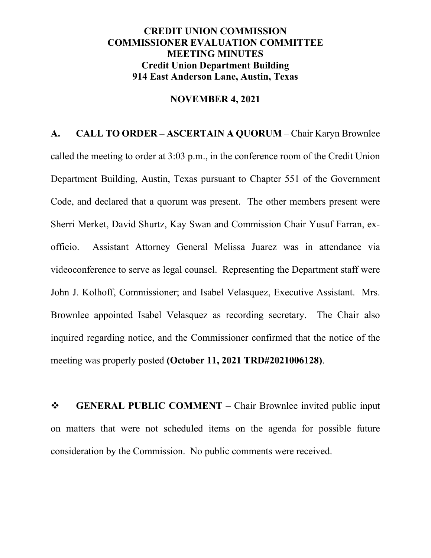### **CREDIT UNION COMMISSION COMMISSIONER EVALUATION COMMITTEE MEETING MINUTES Credit Union Department Building 914 East Anderson Lane, Austin, Texas**

#### **NOVEMBER 4, 2021**

**A. CALL TO ORDER – ASCERTAIN A QUORUM** – Chair Karyn Brownlee called the meeting to order at 3:03 p.m., in the conference room of the Credit Union Department Building, Austin, Texas pursuant to Chapter 551 of the Government Code, and declared that a quorum was present. The other members present were Sherri Merket, David Shurtz, Kay Swan and Commission Chair Yusuf Farran, exofficio. Assistant Attorney General Melissa Juarez was in attendance via videoconference to serve as legal counsel. Representing the Department staff were John J. Kolhoff, Commissioner; and Isabel Velasquez, Executive Assistant. Mrs. Brownlee appointed Isabel Velasquez as recording secretary. The Chair also inquired regarding notice, and the Commissioner confirmed that the notice of the meeting was properly posted **(October 11, 2021 TRD#2021006128)**.

**SENERAL PUBLIC COMMENT** – Chair Brownlee invited public input on matters that were not scheduled items on the agenda for possible future consideration by the Commission. No public comments were received.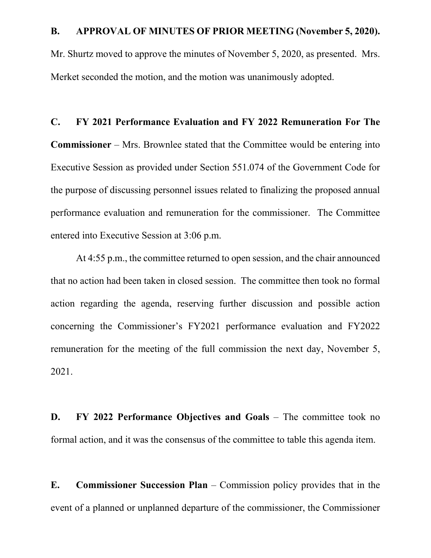#### **B. APPROVAL OF MINUTES OF PRIOR MEETING (November 5, 2020).**

Mr. Shurtz moved to approve the minutes of November 5, 2020, as presented. Mrs. Merket seconded the motion, and the motion was unanimously adopted.

# **C. FY 2021 Performance Evaluation and FY 2022 Remuneration For The Commissioner** – Mrs. Brownlee stated that the Committee would be entering into Executive Session as provided under Section 551.074 of the Government Code for the purpose of discussing personnel issues related to finalizing the proposed annual performance evaluation and remuneration for the commissioner. The Committee entered into Executive Session at 3:06 p.m.

At 4:55 p.m., the committee returned to open session, and the chair announced that no action had been taken in closed session. The committee then took no formal action regarding the agenda, reserving further discussion and possible action concerning the Commissioner's FY2021 performance evaluation and FY2022 remuneration for the meeting of the full commission the next day, November 5, 2021.

**D. FY 2022 Performance Objectives and Goals** – The committee took no formal action, and it was the consensus of the committee to table this agenda item.

**E. Commissioner Succession Plan** – Commission policy provides that in the event of a planned or unplanned departure of the commissioner, the Commissioner